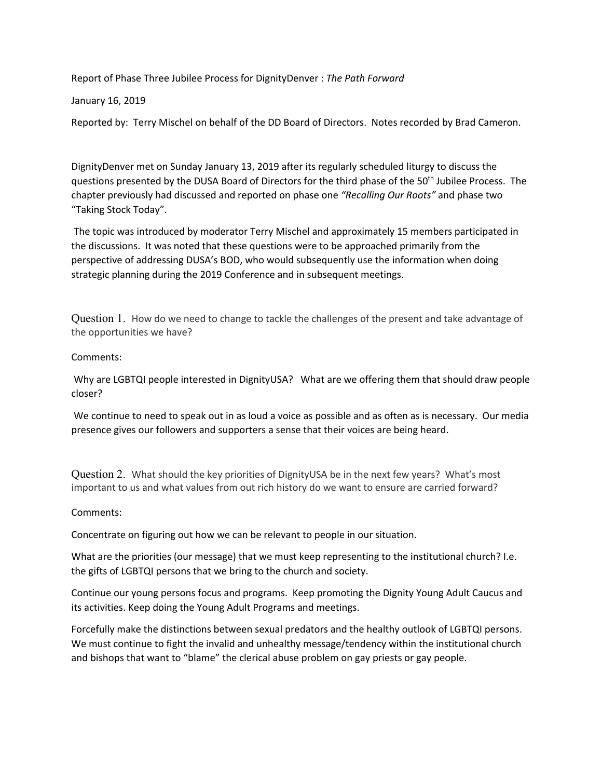Report of Phase Three Jubilee Process for DignityDenver : *The Path Forward*

January 16, 2019

Reported by: Terry Mischel on behalf of the DD Board of Directors. Notes recorded by Brad Cameron.

DignityDenver met on Sunday January 13, 2019 after its regularly scheduled liturgy to discuss the questions presented by the DUSA Board of Directors for the third phase of the 50th Jubilee Process. The chapter previously had discussed and reported on phase one *"Recalling Our Roots"* and phase two "Taking Stock Today".

The topic was introduced by moderator Terry Mischel and approximately 15 members participated in the discussions. It was noted that these questions were to be approached primarily from the perspective of addressing DUSA's BOD, who would subsequently use the information when doing strategic planning during the 2019 Conference and in subsequent meetings.

Question 1. How do we need to change to tackle the challenges of the present and take advantage of the opportunities we have?

## Comments:

Why are LGBTQI people interested in DignityUSA? What are we offering them that should draw people closer?

We continue to need to speak out in as loud a voice as possible and as often as is necessary. Our media presence gives our followers and supporters a sense that their voices are being heard.

Question 2. What should the key priorities of DignityUSA be in the next few years? What's most important to us and what values from out rich history do we want to ensure are carried forward?

## Comments:

Concentrate on figuring out how we can be relevant to people in our situation.

What are the priorities (our message) that we must keep representing to the institutional church? I.e. the gifts of LGBTQI persons that we bring to the church and society.

Continue our young persons focus and programs. Keep promoting the Dignity Young Adult Caucus and its activities. Keep doing the Young Adult Programs and meetings.

Forcefully make the distinctions between sexual predators and the healthy outlook of LGBTQI persons. We must continue to fight the invalid and unhealthy message/tendency within the institutional church and bishops that want to "blame" the clerical abuse problem on gay priests or gay people.